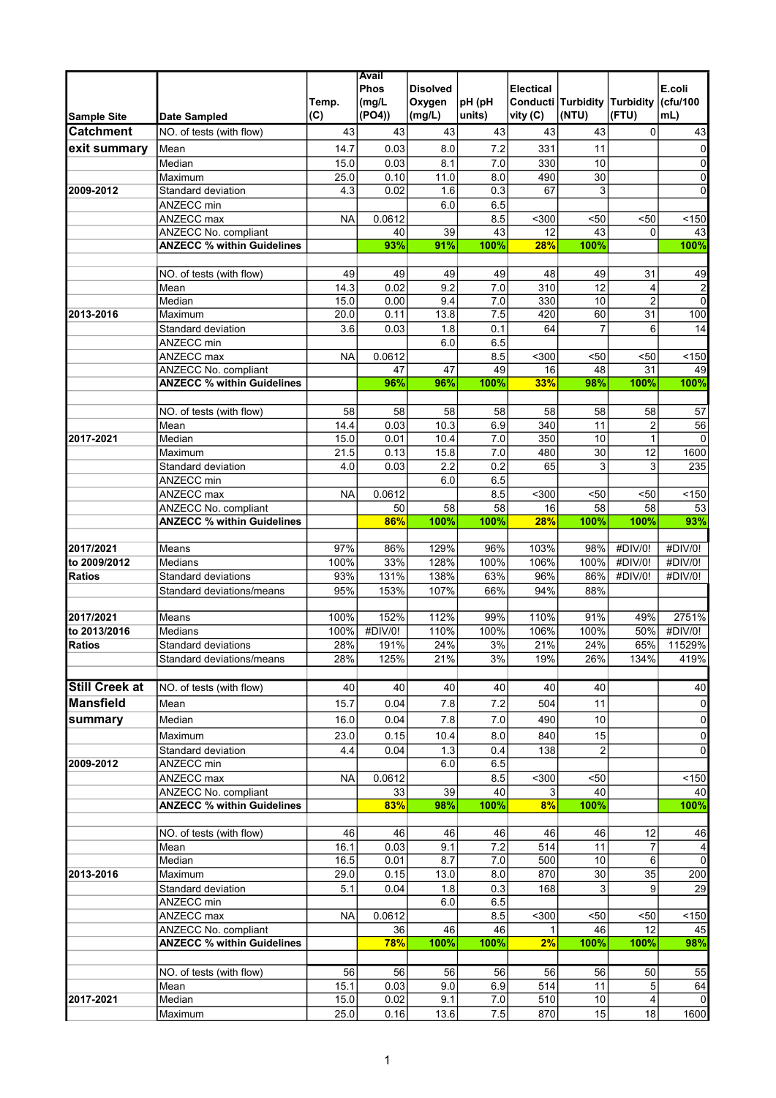|                       |                                   |           | Avail       |                   |        |                  |                                     |                         |                  |
|-----------------------|-----------------------------------|-----------|-------------|-------------------|--------|------------------|-------------------------------------|-------------------------|------------------|
|                       |                                   |           | <b>Phos</b> | <b>Disolved</b>   |        | <b>Electical</b> |                                     |                         | E.coli           |
|                       |                                   | Temp.     | (mg/L)      | Oxygen            | pH (pH |                  | <b>Conducti Turbidity Turbidity</b> |                         | (cfu/100         |
| <b>Sample Site</b>    | <b>Date Sampled</b>               | (C)       | (PO4)       | (mg/L)            | units) | vity (C)         | (NTU)                               | (FTU)                   | mL)              |
| <b>Catchment</b>      | NO. of tests (with flow)          | 43        | 43          | 43                | 43     | 43               | 43                                  | 0                       | 43               |
|                       |                                   |           |             |                   |        |                  |                                     |                         |                  |
| exit summary          | Mean                              | 14.7      | 0.03        | 8.0               | 7.2    | 331              | 11                                  |                         | $\pmb{0}$        |
|                       | Median                            | 15.0      | 0.03        | 8.1               | 7.0    | 330              | 10                                  |                         | $\pmb{0}$        |
|                       | Maximum                           | 25.0      | 0.10        | 11.0              | 8.0    | 490              | $\overline{30}$                     |                         | 0                |
| 2009-2012             | Standard deviation                | 4.3       | 0.02        | 1.6               | 0.3    | 67               | 3                                   |                         | $\overline{0}$   |
|                       | ANZECC min                        |           |             | 6.0               | 6.5    |                  |                                     |                         |                  |
|                       | ANZECC max                        | <b>NA</b> | 0.0612      |                   | 8.5    | $300$            | $50$                                | $50$                    | 150              |
|                       | <b>ANZECC No. compliant</b>       |           | 40          | 39                | 43     | 12               | 43                                  | $\Omega$                | 43               |
|                       | <b>ANZECC % within Guidelines</b> |           | 93%         | 91%               | 100%   | 28%              | 100%                                |                         | 100%             |
|                       |                                   |           |             |                   |        |                  |                                     |                         |                  |
|                       | NO. of tests (with flow)          | 49        | 49          | 49                | 49     | 48               | 49                                  | 31                      | 49               |
|                       | Mean                              | 14.3      | 0.02        | 9.2               | 7.0    | 310              | $\overline{12}$                     | $\overline{\mathbf{4}}$ | $\overline{2}$   |
|                       | Median                            | 15.0      | 0.00        | 9.4               | 7.0    | 330              | 10                                  | $\overline{2}$          | $\overline{0}$   |
| 2013-2016             | Maximum                           | 20.0      | 0.11        | 13.8              | 7.5    | 420              | 60                                  | 31                      | $\overline{100}$ |
|                       | Standard deviation                | 3.6       | 0.03        | 1.8               | 0.1    | 64               | $\overline{7}$                      | 6                       | 14               |
|                       | ANZECC min                        |           |             | 6.0               | 6.5    |                  |                                     |                         |                  |
|                       | ANZECC max                        | <b>NA</b> | 0.0612      |                   | 8.5    | $300$            | $50$                                | $50$                    | 150              |
|                       | ANZECC No. compliant              |           | 47          | 47                | 49     | 16               | 48                                  | 31                      | 49               |
|                       | <b>ANZECC % within Guidelines</b> |           | 96%         | 96%               | 100%   | 33%              | 98%                                 | 100%                    | 100%             |
|                       |                                   |           |             |                   |        |                  |                                     |                         |                  |
|                       |                                   |           |             |                   |        |                  |                                     |                         |                  |
|                       | NO. of tests (with flow)          | 58        | 58          | 58                | 58     | 58               | 58                                  | 58                      | 57               |
|                       | Mean                              | 14.4      | 0.03        | $10.\overline{3}$ | 6.9    | 340              | 11                                  | $\overline{2}$          | 56               |
| 2017-2021             | Median                            | 15.0      | 0.01        | 10.4              | 7.0    | 350              | 10                                  | 1                       | $\Omega$         |
|                       | Maximum                           | 21.5      | 0.13        | 15.8              | 7.0    | 480              | 30                                  | 12                      | 1600             |
|                       | Standard deviation                | 4.0       | 0.03        | 2.2               | 0.2    | 65               | 3                                   | 3                       | 235              |
|                       | ANZECC min                        |           |             | 6.0               | 6.5    |                  |                                     |                         |                  |
|                       | ANZECC max                        | <b>NA</b> | 0.0612      |                   | 8.5    | $300$            | $50$                                | $50$                    | 150              |
|                       | ANZECC No. compliant              |           | 50          | 58                | 58     | 16               | 58                                  | 58                      | 53               |
|                       | <b>ANZECC % within Guidelines</b> |           | 86%         | 100%              | 100%   | 28%              | 100%                                | 100%                    | 93%              |
|                       |                                   |           |             |                   |        |                  |                                     |                         |                  |
| 2017/2021             | Means                             | 97%       | 86%         | 129%              | 96%    | 103%             | 98%                                 | #DIV/0!                 | #DIV/0!          |
| to 2009/2012          | <b>Medians</b>                    | 100%      | 33%         | 128%              | 100%   | 106%             | 100%                                | #DIV/0!                 | #DIV/0!          |
| <b>Ratios</b>         | Standard deviations               | 93%       | 131%        | 138%              | 63%    | 96%              | 86%                                 | #DIV/0!                 | #DIV/0!          |
|                       | Standard deviations/means         | 95%       | 153%        | 107%              | 66%    | 94%              | 88%                                 |                         |                  |
|                       |                                   |           |             |                   |        |                  |                                     |                         |                  |
| 2017/2021             | Means                             | 100%      | 152%        | 112%              | 99%    | 110%             | 91%                                 | 49%                     | 2751%            |
| to 2013/2016          | Medians                           | 100%      | #DIV/0!     | 110%              | 100%   | 106%             | 100%                                | 50%                     | #DIV/0!          |
| <b>Ratios</b>         | Standard deviations               | 28%       | 191%        | 24%               | 3%     | 21%              | 24%                                 | 65%                     | 11529%           |
|                       | Standard deviations/means         | 28%       | 125%        | 21%               | 3%     | 19%              | 26%                                 | 134%                    | 419%             |
|                       |                                   |           |             |                   |        |                  |                                     |                         |                  |
| <b>Still Creek at</b> |                                   |           |             |                   |        |                  |                                     |                         |                  |
|                       | NO. of tests (with flow)          | 40        | 40          | 40                | 40     | 40               | 40                                  |                         | 40               |
| <b>Mansfield</b>      | Mean                              | 15.7      | 0.04        | 7.8               | 7.2    | 504              | 11                                  |                         | $\overline{0}$   |
| summary               | Median                            | 16.0      | 0.04        | 7.8               | 7.0    | 490              | 10                                  |                         | $\overline{0}$   |
|                       | Maximum                           | 23.0      | 0.15        | 10.4              | 8.0    | 840              | 15                                  |                         | 0                |
|                       | Standard deviation                | 4.4       | 0.04        | 1.3               | 0.4    | 138              | $\overline{2}$                      |                         | 0                |
| 2009-2012             | ANZECC min                        |           |             | 6.0               | 6.5    |                  |                                     |                         |                  |
|                       | ANZECC max                        | <b>NA</b> | 0.0612      |                   | 8.5    | $300$            | $50$                                |                         | 150              |
|                       | ANZECC No. compliant              |           | 33          | 39                | 40     | 3                | 40                                  |                         | 40               |
|                       | <b>ANZECC % within Guidelines</b> |           | 83%         | 98%               | 100%   | 8%               | 100%                                |                         | 100%             |
|                       |                                   |           |             |                   |        |                  |                                     |                         |                  |
|                       | NO. of tests (with flow)          | 46        | 46          | 46                | 46     | 46               | 46                                  | 12                      |                  |
|                       |                                   |           |             |                   |        |                  |                                     |                         | 46               |
|                       | Mean                              | 16.1      | 0.03        | 9.1               | 7.2    | 514              | 11                                  | $\overline{7}$          | 4                |
|                       | Median                            | 16.5      | 0.01        | 8.7               | 7.0    | 500              | 10                                  | 6                       | $\overline{0}$   |
| 2013-2016             | Maximum                           | 29.0      | 0.15        | 13.0              | 8.0    | 870              | 30                                  | 35                      | 200              |
|                       | Standard deviation                | 5.1       | 0.04        | 1.8               | 0.3    | 168              | 3                                   | 9                       | 29               |
|                       | ANZECC min                        |           |             | 6.0               | 6.5    |                  |                                     |                         |                  |
|                       | ANZECC max                        | ΝA        | 0.0612      |                   | 8.5    | $300$            | $50$                                | $50$                    | $150$            |
|                       | ANZECC No. compliant              |           | 36          | 46                | 46     | 1                | 46                                  | 12                      | 45               |
|                       | <b>ANZECC % within Guidelines</b> |           | 78%         | 100%              | 100%   | 2%               | 100%                                | 100%                    | 98%              |
|                       |                                   |           |             |                   |        |                  |                                     |                         |                  |
|                       | NO. of tests (with flow)          | 56        | 56          | 56                | 56     | 56               | 56                                  | 50                      | 55               |
|                       | Mean                              | 15.1      | 0.03        | 9.0               | 6.9    | 514              | 11                                  | 5                       | 64               |
| 2017-2021             | Median                            | 15.0      | 0.02        | 9.1               | 7.0    | 510              | 10                                  | 4                       | $\overline{0}$   |
|                       | Maximum                           | 25.0      | 0.16        | 13.6              | 7.5    | 870              | 15                                  | 18                      | 1600             |
|                       |                                   |           |             |                   |        |                  |                                     |                         |                  |